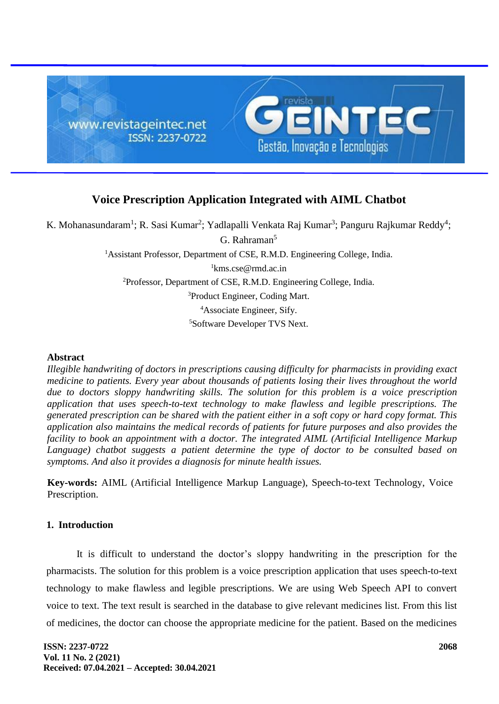

# **Voice Prescription Application Integrated with AIML Chatbot**

K. Mohanasundaram<sup>1</sup>; R. Sasi Kumar<sup>2</sup>; Yadlapalli Venkata Raj Kumar<sup>3</sup>; Panguru Rajkumar Reddy<sup>4</sup>;

G. Rahraman<sup>5</sup> <sup>1</sup>Assistant Professor, Department of CSE, R.M.D. Engineering College, India. kms.cse@rmd.ac.in Professor, Department of CSE, R.M.D. Engineering College, India. Product Engineer, Coding Mart. Associate Engineer, Sify. Software Developer TVS Next.

#### **Abstract**

*Illegible handwriting of doctors in prescriptions causing difficulty for pharmacists in providing exact medicine to patients. Every year about thousands of patients losing their lives throughout the world due to doctors sloppy handwriting skills. The solution for this problem is a voice prescription application that uses speech-to-text technology to make flawless and legible prescriptions. The generated prescription can be shared with the patient either in a soft copy or hard copy format. This application also maintains the medical records of patients for future purposes and also provides the facility to book an appointment with a doctor. The integrated AIML (Artificial Intelligence Markup Language) chatbot suggests a patient determine the type of doctor to be consulted based on symptoms. And also it provides a diagnosis for minute health issues.*

**Key-words:** AIML (Artificial Intelligence Markup Language), Speech-to-text Technology, Voice Prescription.

#### **1. Introduction**

It is difficult to understand the doctor's sloppy handwriting in the prescription for the pharmacists. The solution for this problem is a voice prescription application that uses speech-to-text technology to make flawless and legible prescriptions. We are using Web Speech API to convert voice to text. The text result is searched in the database to give relevant medicines list. From this list of medicines, the doctor can choose the appropriate medicine for the patient. Based on the medicines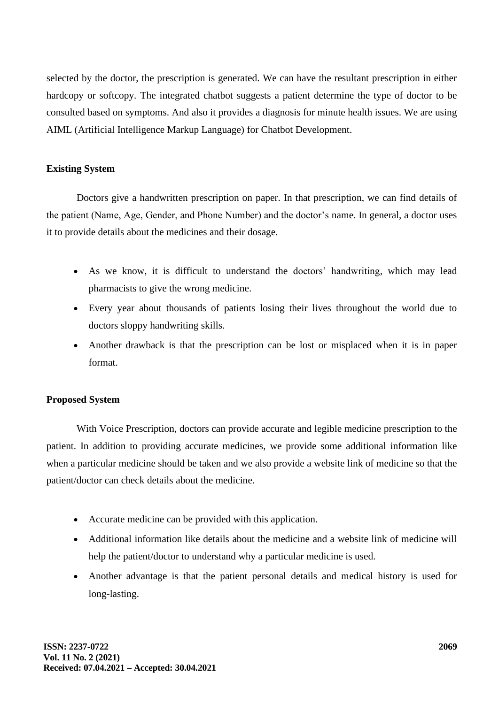selected by the doctor, the prescription is generated. We can have the resultant prescription in either hardcopy or softcopy. The integrated chatbot suggests a patient determine the type of doctor to be consulted based on symptoms. And also it provides a diagnosis for minute health issues. We are using AIML (Artificial Intelligence Markup Language) for Chatbot Development.

## **Existing System**

Doctors give a handwritten prescription on paper. In that prescription, we can find details of the patient (Name, Age, Gender, and Phone Number) and the doctor's name. In general, a doctor uses it to provide details about the medicines and their dosage.

- As we know, it is difficult to understand the doctors' handwriting, which may lead pharmacists to give the wrong medicine.
- Every year about thousands of patients losing their lives throughout the world due to doctors sloppy handwriting skills.
- Another drawback is that the prescription can be lost or misplaced when it is in paper format.

### **Proposed System**

With Voice Prescription, doctors can provide accurate and legible medicine prescription to the patient. In addition to providing accurate medicines, we provide some additional information like when a particular medicine should be taken and we also provide a website link of medicine so that the patient/doctor can check details about the medicine.

- Accurate medicine can be provided with this application.
- Additional information like details about the medicine and a website link of medicine will help the patient/doctor to understand why a particular medicine is used.
- Another advantage is that the patient personal details and medical history is used for long-lasting.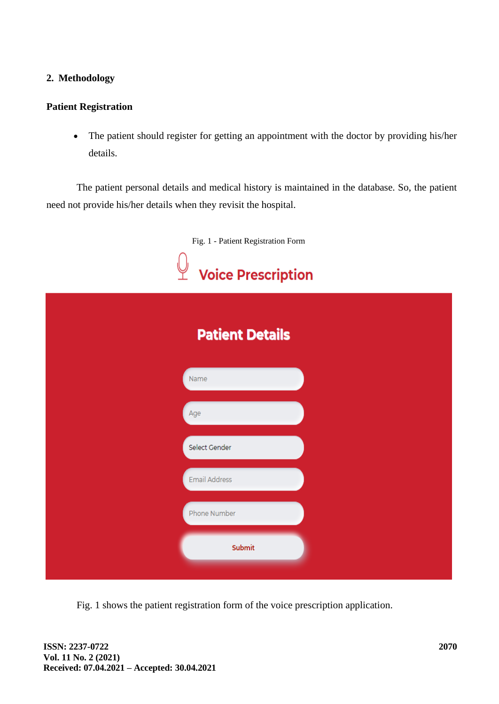# **2. Methodology**

### **Patient Registration**

• The patient should register for getting an appointment with the doctor by providing his/her details.

The patient personal details and medical history is maintained in the database. So, the patient need not provide his/her details when they revisit the hospital.

|  | Fig. 1 - Patient Registration Form<br><b>Voice Prescription</b> |  |  |  |
|--|-----------------------------------------------------------------|--|--|--|
|  |                                                                 |  |  |  |
|  | <b>Patient Details</b>                                          |  |  |  |
|  | Name                                                            |  |  |  |
|  | Age                                                             |  |  |  |
|  | Select Gender                                                   |  |  |  |
|  | <b>Email Address</b>                                            |  |  |  |
|  | Phone Number                                                    |  |  |  |
|  | Submit                                                          |  |  |  |

Fig. 1 shows the patient registration form of the voice prescription application.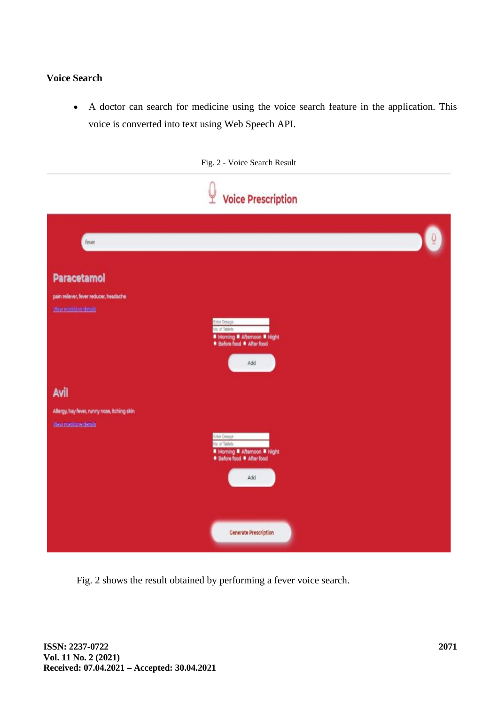# **Voice Search**

• A doctor can search for medicine using the voice search feature in the application. This voice is converted into text using Web Speech API.

|                                                                                       | Fig. 2 - Voice Search Result                                                                                                        |
|---------------------------------------------------------------------------------------|-------------------------------------------------------------------------------------------------------------------------------------|
|                                                                                       | <b>Voice Prescription</b>                                                                                                           |
| fever                                                                                 |                                                                                                                                     |
| <b>Paracetamol</b><br>pain reliever, fever reducer, headache<br>Any marketing daraily | Eritor Dosage<br>No. of Tablets<br>■ Morning ■ Afternoon ■ Night<br>· Before food · After food<br>Add                               |
| Avil<br>Allergy, hay fever, runny nose, itching skin<br>Wew madicine details          | <b>Leter Dosage</b><br>No. of Tablets<br><b>II</b> Morning <b>II</b> Afternoon <b>II</b> Night<br>· Before food · After food<br>Add |
|                                                                                       | <b>Generate Prescription</b>                                                                                                        |

Fig. 2 shows the result obtained by performing a fever voice search.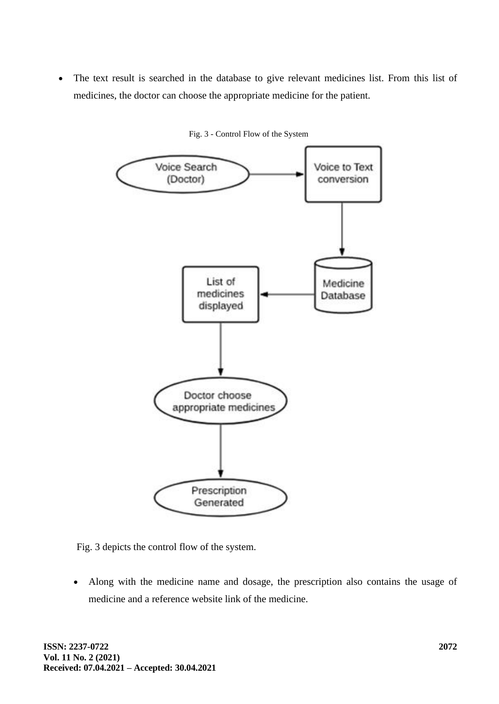• The text result is searched in the database to give relevant medicines list. From this list of medicines, the doctor can choose the appropriate medicine for the patient.



Fig. 3 - Control Flow of the System

Fig. 3 depicts the control flow of the system.

• Along with the medicine name and dosage, the prescription also contains the usage of medicine and a reference website link of the medicine.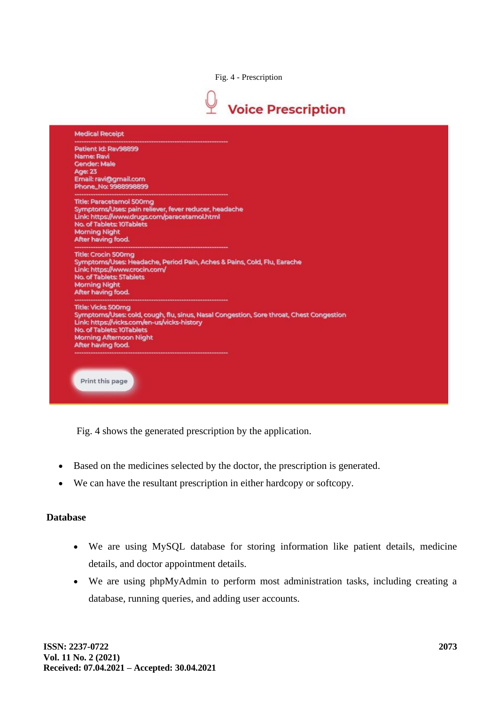Fig. 4 - Prescription



| <b>Medical Receipt</b>                                                                                                                |                                                                                                       |                                                                                         |
|---------------------------------------------------------------------------------------------------------------------------------------|-------------------------------------------------------------------------------------------------------|-----------------------------------------------------------------------------------------|
| Patient Id: Rav98899<br><b>Name: Ravi</b><br><b>Gender: Male</b><br><b>Age: 23</b><br>Email: ravi@gmail.com<br>Phone No: 9988998899   |                                                                                                       |                                                                                         |
| <b>Title: Paracetamol 500mg</b><br>No. of Tablets: 10Tablets<br><b>Morning Night</b><br>After having food.                            | Symptoms/Uses: pain reliever, fever reducer, headache<br>Link: https://www.drugs.com/paracetamol.html |                                                                                         |
| <b>Title: Crocin 500mg</b><br>Link: https://www.crocin.com/<br>No. of Tablets: 5Tablets<br><b>Morning Night</b><br>After having food. | Symptoms/Uses: Headache, Period Pain, Aches & Pains, Cold, Flu, Earache                               |                                                                                         |
| <b>Title: Vicks 500mg</b><br>No. of Tablets: 10Tablets<br><b>Morning Afternoon Night</b><br>After having food.                        | Link: https://vicks.com/en-us/vicks-history                                                           | Symptoms/Uses: cold, cough, flu, sinus, Nasal Congestion, Sore throat, Chest Congestion |

Fig. 4 shows the generated prescription by the application.

- Based on the medicines selected by the doctor, the prescription is generated.
- We can have the resultant prescription in either hardcopy or softcopy.

### **Database**

- We are using MySQL database for storing information like patient details, medicine details, and doctor appointment details.
- We are using phpMyAdmin to perform most administration tasks, including creating a database, running queries, and adding user accounts.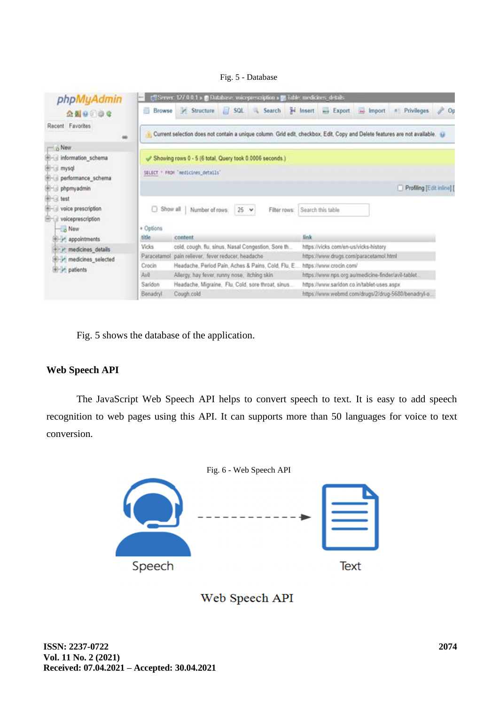#### Fig. 5 - Database



Fig. 5 shows the database of the application.

#### **Web Speech API**

The JavaScript Web Speech API helps to convert speech to text. It is easy to add speech recognition to web pages using this API. It can supports more than 50 languages for voice to text conversion.



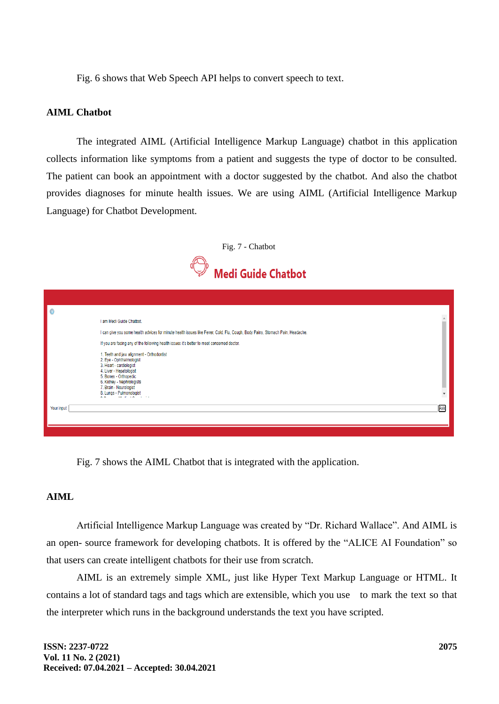Fig. 6 shows that Web Speech API helps to convert speech to text.

#### **AIML Chatbot**

The integrated AIML (Artificial Intelligence Markup Language) chatbot in this application collects information like symptoms from a patient and suggests the type of doctor to be consulted. The patient can book an appointment with a doctor suggested by the chatbot. And also the chatbot provides diagnoses for minute health issues. We are using AIML (Artificial Intelligence Markup Language) for Chatbot Development.



| l o        |                                                                                                                                                                                                                                         |     |
|------------|-----------------------------------------------------------------------------------------------------------------------------------------------------------------------------------------------------------------------------------------|-----|
|            | I am Medi Guide Chatbot.                                                                                                                                                                                                                |     |
|            | I can give you some health advices for minute health issues like Fever, Cold, Flu, Cough, Body Pains, Stomach Pain, Headache.                                                                                                           |     |
|            | If you are facing any of the following health issues it's better to meet conserned doctor.                                                                                                                                              |     |
|            | 1. Teeth and jaw alignment - Orthodontist<br>2. Eye - Ophthalmologist<br>3. Heart - cardiologist<br>4. Liver - Hepatologist<br>5. Bones - Orthopedic<br>6. Kidney - Nephrologists<br>7. Brain - Neurologist<br>8. Lungs - Pulmonologist |     |
| Your input | and the state of the state                                                                                                                                                                                                              | Ask |

Fig. 7 shows the AIML Chatbot that is integrated with the application.

### **AIML**

Artificial Intelligence Markup Language was created by "Dr. Richard Wallace". And AIML is an open- source framework for developing chatbots. It is offered by the "ALICE AI Foundation" so that users can create intelligent chatbots for their use from scratch.

AIML is an extremely simple XML, just like Hyper Text Markup Language or HTML. It contains a lot of standard tags and tags which are extensible, which you use to mark the text so that the interpreter which runs in the background understands the text you have scripted.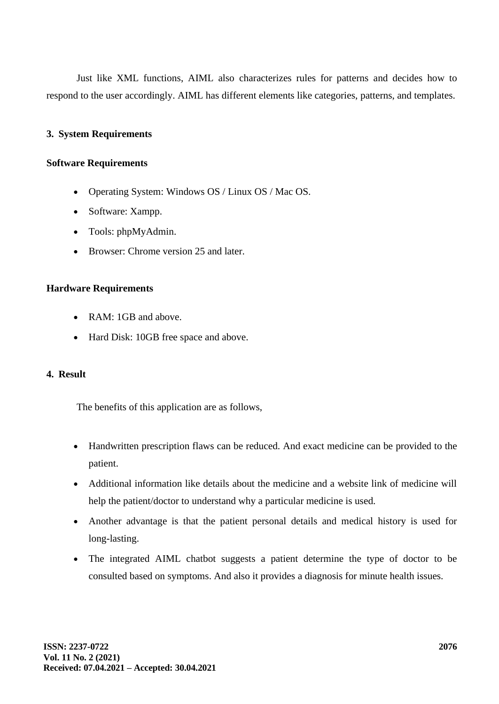Just like XML functions, AIML also characterizes rules for patterns and decides how to respond to the user accordingly. AIML has different elements like categories, patterns, and templates.

# **3. System Requirements**

### **Software Requirements**

- Operating System: Windows OS / Linux OS / Mac OS.
- Software: Xampp.
- Tools: phpMyAdmin.
- Browser: Chrome version 25 and later.

### **Hardware Requirements**

- RAM: 1GB and above.
- Hard Disk: 10GB free space and above.

### **4. Result**

The benefits of this application are as follows,

- Handwritten prescription flaws can be reduced. And exact medicine can be provided to the patient.
- Additional information like details about the medicine and a website link of medicine will help the patient/doctor to understand why a particular medicine is used.
- Another advantage is that the patient personal details and medical history is used for long-lasting.
- The integrated AIML chatbot suggests a patient determine the type of doctor to be consulted based on symptoms. And also it provides a diagnosis for minute health issues.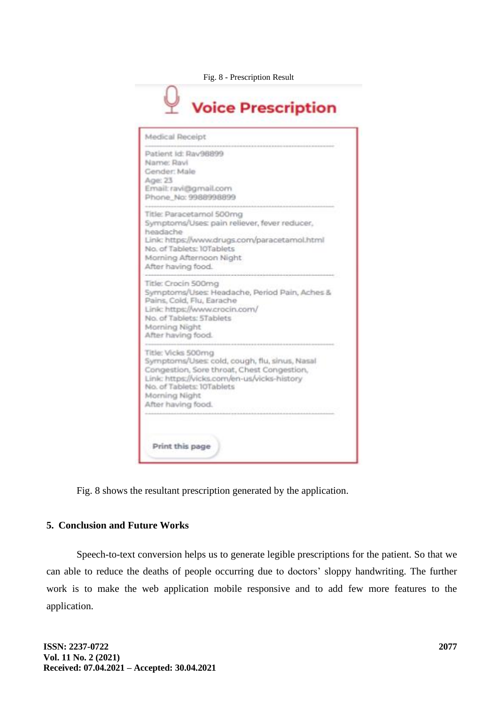

| Medical Receipt                                                                                                                                                                                                                      |                                               |
|--------------------------------------------------------------------------------------------------------------------------------------------------------------------------------------------------------------------------------------|-----------------------------------------------|
| Patient Id: Rav98899<br>Name: Ravi<br>Gender: Male<br>Age: 23<br>Email: ravi@gmail.com<br>Phone No: 9988998899                                                                                                                       |                                               |
| Title: Paracetamol 500mg<br>Symptoms/Uses: pain reliever, fever reducer,<br>headache<br>No. of Tablets: 10Tablets<br>Morning Afternoon Night<br>After having food.                                                                   | Link: https://www.drugs.com/paracetamol.html  |
| Title: Crocin 500mg<br>Pains, Cold, Flu, Earache<br>Link: https://www.crocin.com/<br>No. of Tablets: 5Tablets<br>Morning Night<br>After having food.                                                                                 | Symptoms/Uses: Headache, Period Pain, Aches & |
| Title: Vicks 500mg<br>Symptoms/Uses: cold, cough, flu, sinus, Nasal<br>Congestion, Sore throat, Chest Congestion,<br>Link: https://vicks.com/en-us/vicks-history<br>No. of Tablets: 10Tablets<br>Morning Night<br>After having food. |                                               |

Fig. 8 shows the resultant prescription generated by the application.

# **5. Conclusion and Future Works**

Speech-to-text conversion helps us to generate legible prescriptions for the patient. So that we can able to reduce the deaths of people occurring due to doctors' sloppy handwriting. The further work is to make the web application mobile responsive and to add few more features to the application.